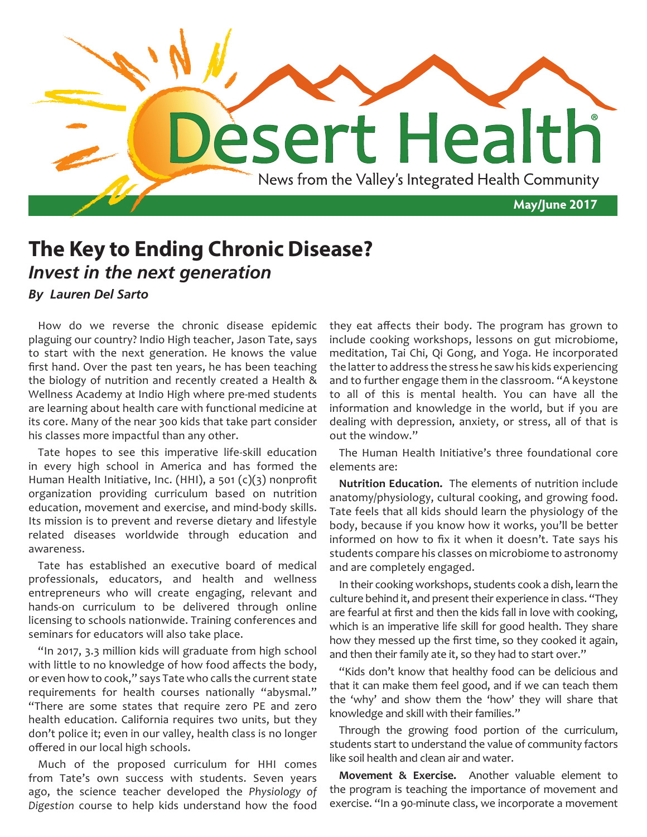

## **The Key to Ending Chronic Disease?** *Invest in the next generation*

## *By Lauren Del Sarto*

How do we reverse the chronic disease epidemic plaguing our country? Indio High teacher, Jason Tate, says to start with the next generation. He knows the value first hand. Over the past ten years, he has been teaching the biology of nutrition and recently created a Health & Wellness Academy at Indio High where pre-med students are learning about health care with functional medicine at its core. Many of the near 300 kids that take part consider his classes more impactful than any other.

Tate hopes to see this imperative life-skill education in every high school in America and has formed the Human Health Initiative, Inc. (HHI), a 501 (c)(3) nonprofit organization providing curriculum based on nutrition education, movement and exercise, and mind-body skills. Its mission is to prevent and reverse dietary and lifestyle related diseases worldwide through education and awareness.

Tate has established an executive board of medical professionals, educators, and health and wellness entrepreneurs who will create engaging, relevant and hands-on curriculum to be delivered through online licensing to schools nationwide. Training conferences and seminars for educators will also take place.

"In 2017, 3.3 million kids will graduate from high school with little to no knowledge of how food affects the body, or even how to cook," says Tate who calls the current state requirements for health courses nationally "abysmal." "There are some states that require zero PE and zero health education. California requires two units, but they don't police it; even in our valley, health class is no longer offered in our local high schools.

Much of the proposed curriculum for HHI comes from Tate's own success with students. Seven years ago, the science teacher developed the *Physiology of Digestion* course to help kids understand how the food

they eat affects their body. The program has grown to include cooking workshops, lessons on gut microbiome, meditation, Tai Chi, Qi Gong, and Yoga. He incorporated the latter to address the stress he saw his kids experiencing and to further engage them in the classroom. "A keystone to all of this is mental health. You can have all the information and knowledge in the world, but if you are dealing with depression, anxiety, or stress, all of that is out the window."

The Human Health Initiative's three foundational core elements are:

**Nutrition Education.** The elements of nutrition include anatomy/physiology, cultural cooking, and growing food. Tate feels that all kids should learn the physiology of the body, because if you know how it works, you'll be better informed on how to fix it when it doesn't. Tate says his students compare his classes on microbiome to astronomy and are completely engaged.

In their cooking workshops, students cook a dish, learn the culture behind it, and present their experience in class. "They are fearful at first and then the kids fall in love with cooking, which is an imperative life skill for good health. They share how they messed up the first time, so they cooked it again, and then their family ate it, so they had to start over."

"Kids don't know that healthy food can be delicious and that it can make them feel good, and if we can teach them the 'why' and show them the 'how' they will share that knowledge and skill with their families."

Through the growing food portion of the curriculum, students start to understand the value of community factors like soil health and clean air and water.

**Movement & Exercise.** Another valuable element to the program is teaching the importance of movement and exercise. "In a 90-minute class, we incorporate a movement